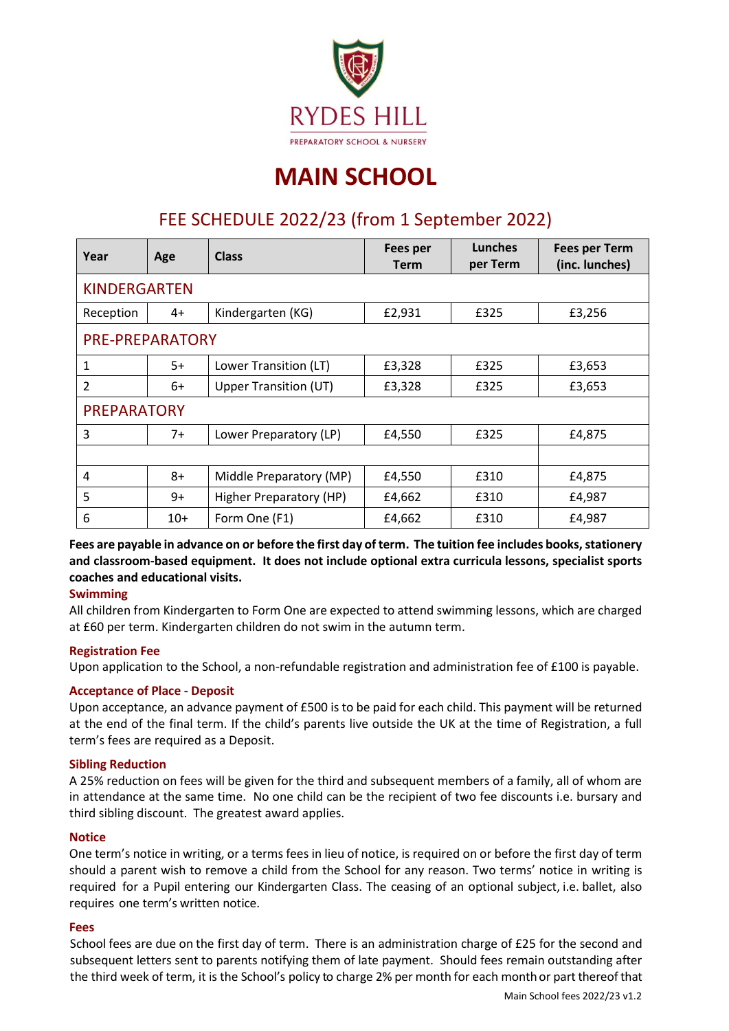

# **MAIN SCHOOL**

# FEE SCHEDULE 2022/23 (from 1 September 2022)

| Year                     | Age   | <b>Class</b>                 | Fees per<br><b>Term</b> | Lunches<br>per Term | <b>Fees per Term</b><br>(inc. lunches) |  |
|--------------------------|-------|------------------------------|-------------------------|---------------------|----------------------------------------|--|
| <b>KINDERGARTEN</b>      |       |                              |                         |                     |                                        |  |
| Reception                | 4+    | Kindergarten (KG)            | £2,931                  | £325                | £3,256                                 |  |
| <b>PRE-PREPARATORY</b>   |       |                              |                         |                     |                                        |  |
| 1                        | $5+$  | Lower Transition (LT)        | £3,328                  | £325                | £3,653                                 |  |
| $\overline{\mathcal{L}}$ | $6+$  | <b>Upper Transition (UT)</b> | £3,328                  | £325                | £3,653                                 |  |
| <b>PREPARATORY</b>       |       |                              |                         |                     |                                        |  |
| 3                        | $7+$  | Lower Preparatory (LP)       | £4,550                  | £325                | £4,875                                 |  |
|                          |       |                              |                         |                     |                                        |  |
| 4                        | $8+$  | Middle Preparatory (MP)      | £4,550                  | £310                | £4,875                                 |  |
| 5                        | 9+    | Higher Preparatory (HP)      | £4,662                  | £310                | £4,987                                 |  |
| 6                        | $10+$ | Form One (F1)                | £4,662                  | £310                | £4,987                                 |  |

**Fees are payable in advance on or before the first day of term. The tuition fee includes books, stationery and classroom-based equipment. It does not include optional extra curricula lessons, specialist sports coaches and educational visits.** 

# **Swimming**

All children from Kindergarten to Form One are expected to attend swimming lessons, which are charged at £60 per term. Kindergarten children do not swim in the autumn term.

#### **Registration Fee**

Upon application to the School, a non-refundable registration and administration fee of £100 is payable.

# **Acceptance of Place - Deposit**

Upon acceptance, an advance payment of £500 is to be paid for each child. This payment will be returned at the end of the final term. If the child's parents live outside the UK at the time of Registration, a full term's fees are required as a Deposit.

# **Sibling Reduction**

A 25% reduction on fees will be given for the third and subsequent members of a family, all of whom are in attendance at the same time. No one child can be the recipient of two fee discounts i.e. bursary and third sibling discount. The greatest award applies.

#### **Notice**

One term's notice in writing, or a terms fees in lieu of notice, is required on or before the first day of term should a parent wish to remove a child from the School for any reason. Two terms' notice in writing is required for a Pupil entering our Kindergarten Class. The ceasing of an optional subject, i.e. ballet, also requires one term's written notice.

#### **Fees**

School fees are due on the first day of term. There is an administration charge of £25 for the second and subsequent letters sent to parents notifying them of late payment. Should fees remain outstanding after the third week of term, it is the School's policy to charge 2% per month for each monthor partthereofthat